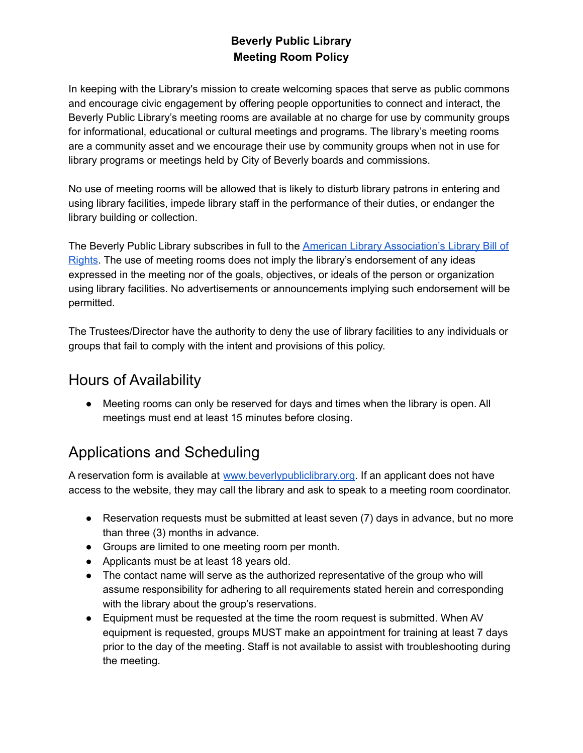#### **Beverly Public Library Meeting Room Policy**

In keeping with the Library's mission to create welcoming spaces that serve as public commons and encourage civic engagement by offering people opportunities to connect and interact, the Beverly Public Library's meeting rooms are available at no charge for use by community groups for informational, educational or cultural meetings and programs. The library's meeting rooms are a community asset and we encourage their use by community groups when not in use for library programs or meetings held by City of Beverly boards and commissions.

No use of meeting rooms will be allowed that is likely to disturb library patrons in entering and using library facilities, impede library staff in the performance of their duties, or endanger the library building or collection.

The Beverly Public Library subscribes in full to the American Library [Association's](http://www.ala.org/advocacy/sites/ala.org.advocacy/files/content/LBORwithInterpretations.pdf) Library Bill of [Rights](http://www.ala.org/advocacy/sites/ala.org.advocacy/files/content/LBORwithInterpretations.pdf). The use of meeting rooms does not imply the library's endorsement of any ideas expressed in the meeting nor of the goals, objectives, or ideals of the person or organization using library facilities. No advertisements or announcements implying such endorsement will be permitted.

The Trustees/Director have the authority to deny the use of library facilities to any individuals or groups that fail to comply with the intent and provisions of this policy.

#### Hours of Availability

• Meeting rooms can only be reserved for days and times when the library is open. All meetings must end at least 15 minutes before closing.

### Applications and Scheduling

A reservation form is available at [www.beverlypubliclibrary.org.](http://www.beverlypubliclibrary.org/) If an applicant does not have access to the website, they may call the library and ask to speak to a meeting room coordinator.

- Reservation requests must be submitted at least seven (7) days in advance, but no more than three (3) months in advance.
- Groups are limited to one meeting room per month.
- Applicants must be at least 18 years old.
- The contact name will serve as the authorized representative of the group who will assume responsibility for adhering to all requirements stated herein and corresponding with the library about the group's reservations.
- Equipment must be requested at the time the room request is submitted. When AV equipment is requested, groups MUST make an appointment for training at least 7 days prior to the day of the meeting. Staff is not available to assist with troubleshooting during the meeting.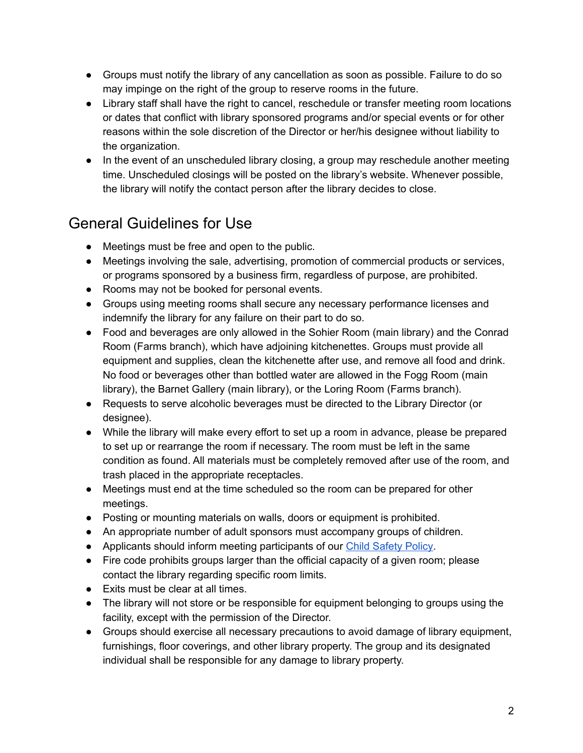- Groups must notify the library of any cancellation as soon as possible. Failure to do so may impinge on the right of the group to reserve rooms in the future.
- Library staff shall have the right to cancel, reschedule or transfer meeting room locations or dates that conflict with library sponsored programs and/or special events or for other reasons within the sole discretion of the Director or her/his designee without liability to the organization.
- In the event of an unscheduled library closing, a group may reschedule another meeting time. Unscheduled closings will be posted on the library's website. Whenever possible, the library will notify the contact person after the library decides to close.

## General Guidelines for Use

- Meetings must be free and open to the public.
- Meetings involving the sale, advertising, promotion of commercial products or services, or programs sponsored by a business firm, regardless of purpose, are prohibited.
- Rooms may not be booked for personal events.
- Groups using meeting rooms shall secure any necessary performance licenses and indemnify the library for any failure on their part to do so.
- Food and beverages are only allowed in the Sohier Room (main library) and the Conrad Room (Farms branch), which have adjoining kitchenettes. Groups must provide all equipment and supplies, clean the kitchenette after use, and remove all food and drink. No food or beverages other than bottled water are allowed in the Fogg Room (main library), the Barnet Gallery (main library), or the Loring Room (Farms branch).
- Requests to serve alcoholic beverages must be directed to the Library Director (or designee).
- While the library will make every effort to set up a room in advance, please be prepared to set up or rearrange the room if necessary. The room must be left in the same condition as found. All materials must be completely removed after use of the room, and trash placed in the appropriate receptacles.
- Meetings must end at the time scheduled so the room can be prepared for other meetings.
- Posting or mounting materials on walls, doors or equipment is prohibited.
- An appropriate number of adult sponsors must accompany groups of children.
- Applicants should inform meeting participants of our Child [Safety](https://www.beverlypubliclibrary.org/policy_child_safety.pdf) Policy.
- Fire code prohibits groups larger than the official capacity of a given room; please contact the library regarding specific room limits.
- Exits must be clear at all times.
- The library will not store or be responsible for equipment belonging to groups using the facility, except with the permission of the Director.
- Groups should exercise all necessary precautions to avoid damage of library equipment, furnishings, floor coverings, and other library property. The group and its designated individual shall be responsible for any damage to library property.